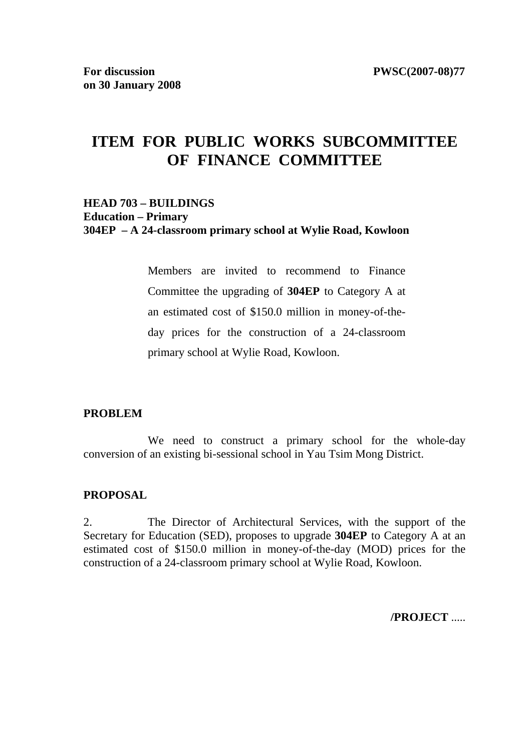# **ITEM FOR PUBLIC WORKS SUBCOMMITTEE OF FINANCE COMMITTEE**

#### **HEAD 703 – BUILDINGS Education – Primary 304EP – A 24-classroom primary school at Wylie Road, Kowloon**

Members are invited to recommend to Finance Committee the upgrading of **304EP** to Category A at an estimated cost of \$150.0 million in money-of-theday prices for the construction of a 24-classroom primary school at Wylie Road, Kowloon.

#### **PROBLEM**

We need to construct a primary school for the whole-day conversion of an existing bi-sessional school in Yau Tsim Mong District.

#### **PROPOSAL**

2. The Director of Architectural Services, with the support of the Secretary for Education (SED), proposes to upgrade **304EP** to Category A at an estimated cost of \$150.0 million in money-of-the-day (MOD) prices for the construction of a 24-classroom primary school at Wylie Road, Kowloon.

**/PROJECT** .....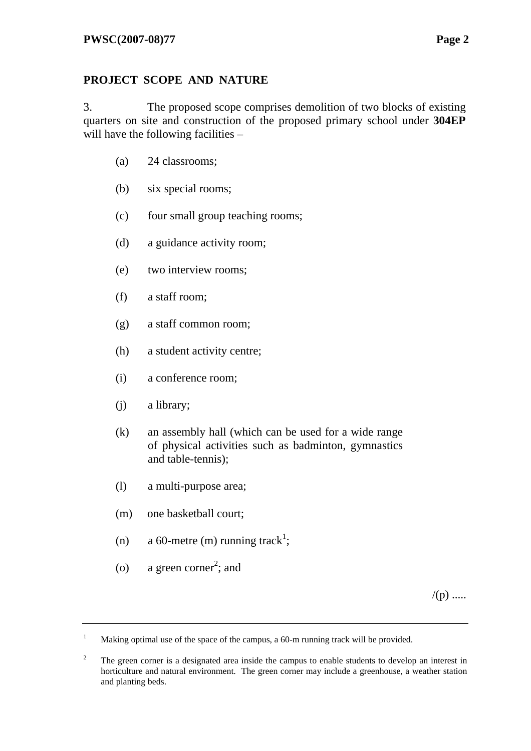## **PROJECT SCOPE AND NATURE**

3. The proposed scope comprises demolition of two blocks of existing quarters on site and construction of the proposed primary school under **304EP** will have the following facilities –

- (a) 24 classrooms;
- (b) six special rooms;
- (c) four small group teaching rooms;
- (d) a guidance activity room;
- (e) two interview rooms;
- (f) a staff room;
- (g) a staff common room;
- (h) a student activity centre;
- (i) a conference room;
- (j) a library;
- (k) an assembly hall (which can be used for a wide range of physical activities such as badminton, gymnastics and table-tennis);
- (l) a multi-purpose area;
- (m) one basketball court;
- (n) a 60-metre (m) running track<sup>1</sup>;
- (o) a green corner<sup>2</sup>; and

 $/(p)$  .....

<sup>1</sup> Making optimal use of the space of the campus, a 60-m running track will be provided.

<sup>2</sup> The green corner is a designated area inside the campus to enable students to develop an interest in horticulture and natural environment. The green corner may include a greenhouse, a weather station and planting beds.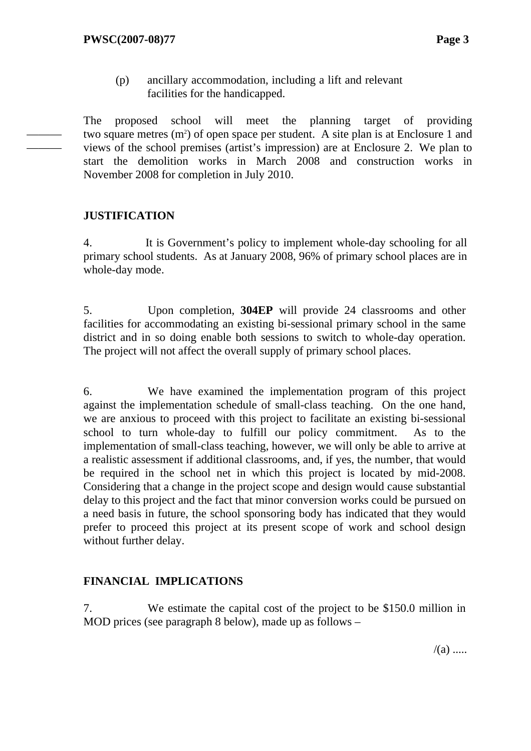(p) ancillary accommodation, including a lift and relevant facilities for the handicapped.

The proposed school will meet the planning target of providing two square metres  $(m<sup>2</sup>)$  of open space per student. A site plan is at Enclosure 1 and views of the school premises (artist's impression) are at Enclosure 2. We plan to start the demolition works in March 2008 and construction works in November 2008 for completion in July 2010.

### **JUSTIFICATION**

——— ———

> 4. It is Government's policy to implement whole-day schooling for all primary school students. As at January 2008, 96% of primary school places are in whole-day mode.

> 5. Upon completion, **304EP** will provide 24 classrooms and other facilities for accommodating an existing bi-sessional primary school in the same district and in so doing enable both sessions to switch to whole-day operation. The project will not affect the overall supply of primary school places.

> 6. We have examined the implementation program of this project against the implementation schedule of small-class teaching. On the one hand, we are anxious to proceed with this project to facilitate an existing bi-sessional school to turn whole-day to fulfill our policy commitment. As to the implementation of small-class teaching, however, we will only be able to arrive at a realistic assessment if additional classrooms, and, if yes, the number, that would be required in the school net in which this project is located by mid-2008. Considering that a change in the project scope and design would cause substantial delay to this project and the fact that minor conversion works could be pursued on a need basis in future, the school sponsoring body has indicated that they would prefer to proceed this project at its present scope of work and school design without further delay.

# **FINANCIAL IMPLICATIONS**

7. We estimate the capital cost of the project to be \$150.0 million in MOD prices (see paragraph 8 below), made up as follows –

 $/(a)$  .....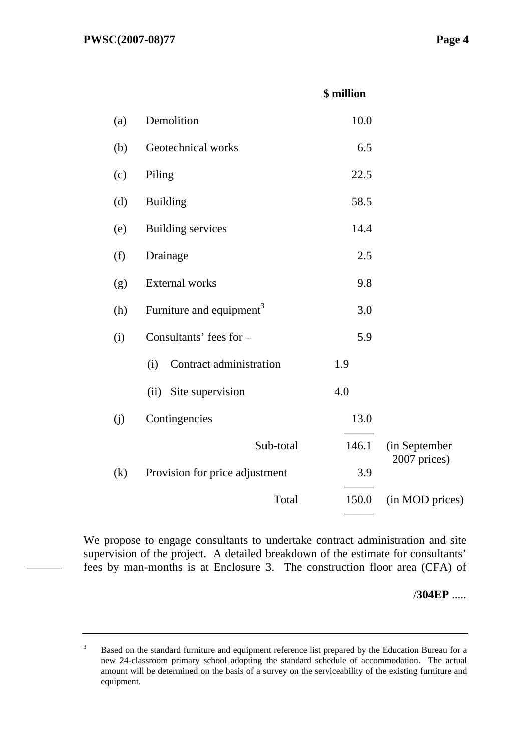———

#### **\$ million**

| (a) | Demolition                           | 10.0  |                               |
|-----|--------------------------------------|-------|-------------------------------|
| (b) | Geotechnical works                   | 6.5   |                               |
| (c) | Piling                               | 22.5  |                               |
| (d) | <b>Building</b>                      | 58.5  |                               |
| (e) | <b>Building services</b>             | 14.4  |                               |
| (f) | Drainage                             | 2.5   |                               |
| (g) | <b>External works</b>                | 9.8   |                               |
| (h) | Furniture and equipment <sup>3</sup> | 3.0   |                               |
| (i) | Consultants' fees for -              | 5.9   |                               |
|     | Contract administration<br>(i)       | 1.9   |                               |
|     | (ii)<br>Site supervision             | 4.0   |                               |
| (j) | Contingencies                        | 13.0  |                               |
|     | Sub-total                            | 146.1 | (in September<br>2007 prices) |
| (k) | Provision for price adjustment       | 3.9   |                               |
|     | Total                                | 150.0 | (in MOD prices)               |
|     |                                      |       |                               |

We propose to engage consultants to undertake contract administration and site supervision of the project. A detailed breakdown of the estimate for consultants' fees by man-months is at Enclosure 3. The construction floor area (CFA) of

/**304EP** .....

<sup>3</sup> Based on the standard furniture and equipment reference list prepared by the Education Bureau for a new 24-classroom primary school adopting the standard schedule of accommodation. The actual amount will be determined on the basis of a survey on the serviceability of the existing furniture and equipment.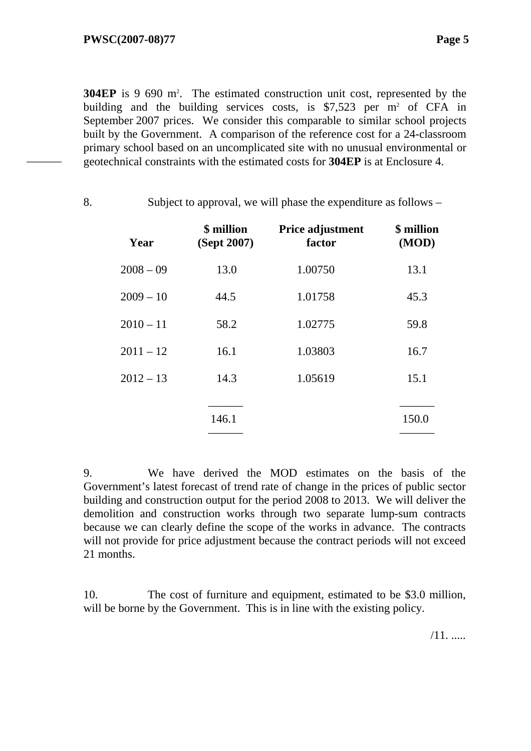———

**304EP** is 9 690 m<sup>2</sup>. The estimated construction unit cost, represented by the building and the building services costs, is  $$7,523$  per m<sup>2</sup> of CFA in September 2007 prices. We consider this comparable to similar school projects built by the Government. A comparison of the reference cost for a 24-classroom primary school based on an uncomplicated site with no unusual environmental or geotechnical constraints with the estimated costs for **304EP** is at Enclosure 4.

8. Subject to approval, we will phase the expenditure as follows –

**Year \$ million (Sept 2007) Price adjustment factor \$ million (MOD)** 2008 – 09 13.0 1.00750 13.1 2009 – 10 44.5 1.01758 45.3 2010 – 11 58.2 1.02775 59.8 2011 – 12 16.1 1.03803 16.7  $2012 - 13$  14.3 1.05619 15.1 ——— ——— 146.1 150.0 ——— ———

9. We have derived the MOD estimates on the basis of the Government's latest forecast of trend rate of change in the prices of public sector building and construction output for the period 2008 to 2013. We will deliver the demolition and construction works through two separate lump-sum contracts because we can clearly define the scope of the works in advance. The contracts will not provide for price adjustment because the contract periods will not exceed 21 months.

10. The cost of furniture and equipment, estimated to be \$3.0 million, will be borne by the Government. This is in line with the existing policy.

/11. .....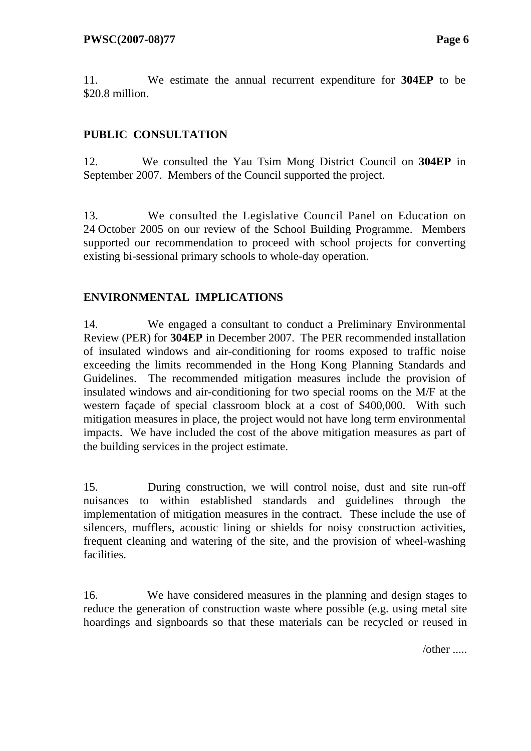11. We estimate the annual recurrent expenditure for **304EP** to be \$20.8 million.

# **PUBLIC CONSULTATION**

12. We consulted the Yau Tsim Mong District Council on **304EP** in September 2007. Members of the Council supported the project.

13. We consulted the Legislative Council Panel on Education on 24 October 2005 on our review of the School Building Programme. Members supported our recommendation to proceed with school projects for converting existing bi-sessional primary schools to whole-day operation.

## **ENVIRONMENTAL IMPLICATIONS**

14. We engaged a consultant to conduct a Preliminary Environmental Review (PER) for **304EP** in December 2007. The PER recommended installation of insulated windows and air-conditioning for rooms exposed to traffic noise exceeding the limits recommended in the Hong Kong Planning Standards and Guidelines. The recommended mitigation measures include the provision of insulated windows and air-conditioning for two special rooms on the M/F at the western façade of special classroom block at a cost of \$400,000. With such mitigation measures in place, the project would not have long term environmental impacts. We have included the cost of the above mitigation measures as part of the building services in the project estimate.

15. During construction, we will control noise, dust and site run-off nuisances to within established standards and guidelines through the implementation of mitigation measures in the contract. These include the use of silencers, mufflers, acoustic lining or shields for noisy construction activities, frequent cleaning and watering of the site, and the provision of wheel-washing facilities.

16. We have considered measures in the planning and design stages to reduce the generation of construction waste where possible (e.g. using metal site hoardings and signboards so that these materials can be recycled or reused in

/other .....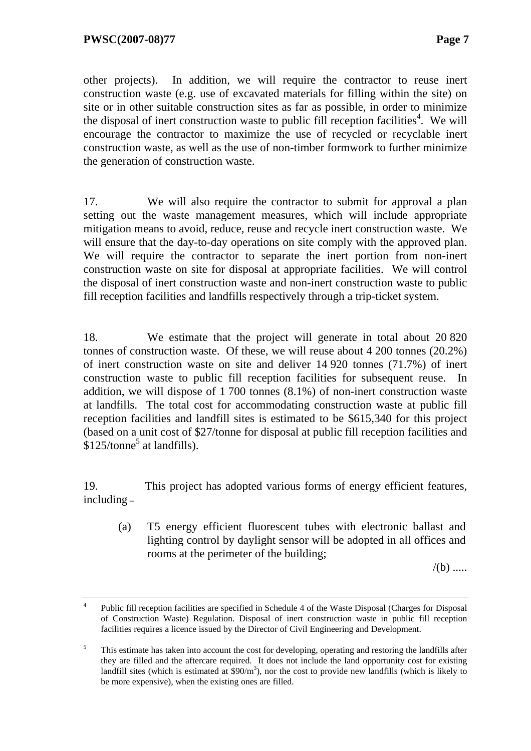other projects). In addition, we will require the contractor to reuse inert construction waste (e.g. use of excavated materials for filling within the site) on site or in other suitable construction sites as far as possible, in order to minimize the disposal of inert construction waste to public fill reception facilities<sup>4</sup>. We will encourage the contractor to maximize the use of recycled or recyclable inert construction waste, as well as the use of non-timber formwork to further minimize the generation of construction waste.

17. We will also require the contractor to submit for approval a plan setting out the waste management measures, which will include appropriate mitigation means to avoid, reduce, reuse and recycle inert construction waste. We will ensure that the day-to-day operations on site comply with the approved plan. We will require the contractor to separate the inert portion from non-inert construction waste on site for disposal at appropriate facilities. We will control the disposal of inert construction waste and non-inert construction waste to public fill reception facilities and landfills respectively through a trip-ticket system.

18. We estimate that the project will generate in total about 20 820 tonnes of construction waste. Of these, we will reuse about 4 200 tonnes (20.2%) of inert construction waste on site and deliver 14 920 tonnes (71.7%) of inert construction waste to public fill reception facilities for subsequent reuse. In addition, we will dispose of 1 700 tonnes (8.1%) of non-inert construction waste at landfills. The total cost for accommodating construction waste at public fill reception facilities and landfill sites is estimated to be \$615,340 for this project (based on a unit cost of \$27/tonne for disposal at public fill reception facilities and  $$125$ /tonne<sup>5</sup> at landfills).

19. This project has adopted various forms of energy efficient features, including **–**

(a) T5 energy efficient fluorescent tubes with electronic ballast and lighting control by daylight sensor will be adopted in all offices and rooms at the perimeter of the building;

 $/(b)$  .....

<sup>&</sup>lt;sup>4</sup> Public fill reception facilities are specified in Schedule 4 of the Waste Disposal (Charges for Disposal of Construction Waste) Regulation. Disposal of inert construction waste in public fill reception facilities requires a licence issued by the Director of Civil Engineering and Development.

<sup>5</sup> This estimate has taken into account the cost for developing, operating and restoring the landfills after they are filled and the aftercare required. It does not include the land opportunity cost for existing landfill sites (which is estimated at  $$90/m^3$ ), nor the cost to provide new landfills (which is likely to be more expensive), when the existing ones are filled.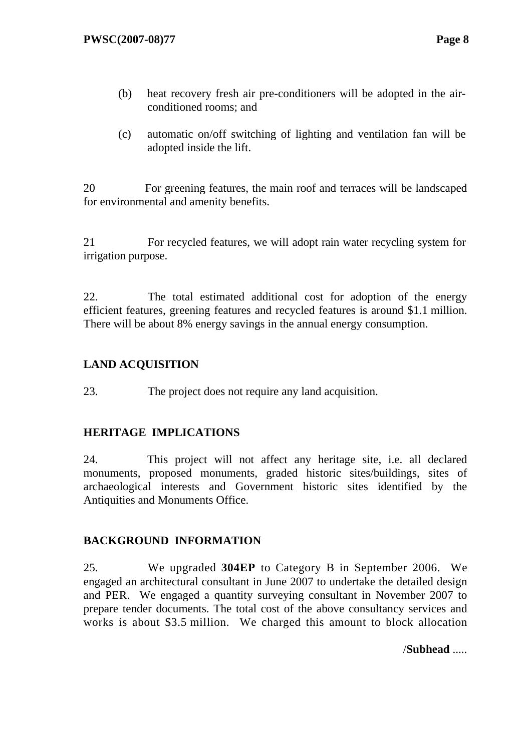- (b) heat recovery fresh air pre-conditioners will be adopted in the airconditioned rooms; and
- (c) automatic on/off switching of lighting and ventilation fan will be adopted inside the lift.

20 For greening features, the main roof and terraces will be landscaped for environmental and amenity benefits.

21 For recycled features, we will adopt rain water recycling system for irrigation purpose.

22. The total estimated additional cost for adoption of the energy efficient features, greening features and recycled features is around \$1.1 million. There will be about 8% energy savings in the annual energy consumption.

# **LAND ACQUISITION**

23. The project does not require any land acquisition.

# **HERITAGE IMPLICATIONS**

24. This project will not affect any heritage site, i.e. all declared monuments, proposed monuments, graded historic sites/buildings, sites of archaeological interests and Government historic sites identified by the Antiquities and Monuments Office.

# **BACKGROUND INFORMATION**

25. We upgraded **304EP** to Category B in September 2006. We engaged an architectural consultant in June 2007 to undertake the detailed design and PER. We engaged a quantity surveying consultant in November 2007 to prepare tender documents. The total cost of the above consultancy services and works is about \$3.5 million. We charged this amount to block allocation

/**Subhead** .....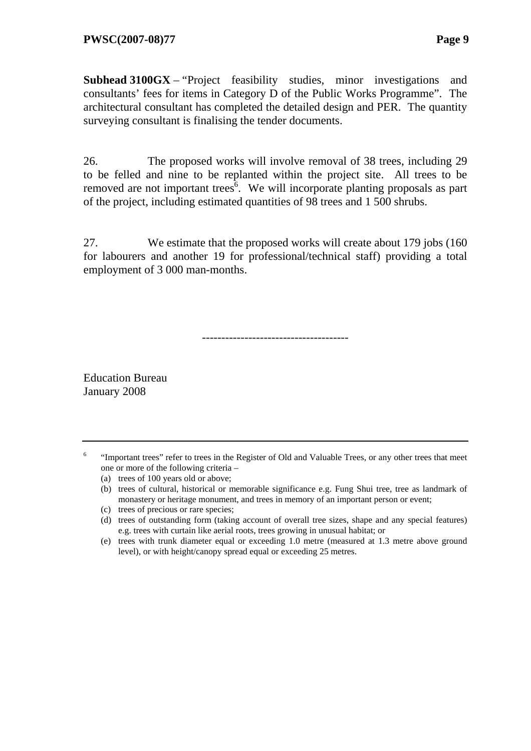**Subhead 3100GX** – "Project feasibility studies, minor investigations and consultants' fees for items in Category D of the Public Works Programme". The architectural consultant has completed the detailed design and PER. The quantity surveying consultant is finalising the tender documents.

26. The proposed works will involve removal of 38 trees, including 29 to be felled and nine to be replanted within the project site. All trees to be removed are not important trees<sup> $\delta$ </sup>. We will incorporate planting proposals as part of the project, including estimated quantities of 98 trees and 1 500 shrubs.

27. We estimate that the proposed works will create about 179 jobs (160 for labourers and another 19 for professional/technical staff) providing a total employment of 3 000 man-months.

--------------------------------------

Education Bureau January 2008

- 6 "Important trees" refer to trees in the Register of Old and Valuable Trees, or any other trees that meet one or more of the following criteria –
	- (a) trees of 100 years old or above;
	- (b) trees of cultural, historical or memorable significance e.g. Fung Shui tree, tree as landmark of monastery or heritage monument, and trees in memory of an important person or event;
	- (c) trees of precious or rare species;
	- (d) trees of outstanding form (taking account of overall tree sizes, shape and any special features) e.g. trees with curtain like aerial roots, trees growing in unusual habitat; or
	- (e) trees with trunk diameter equal or exceeding 1.0 metre (measured at 1.3 metre above ground level), or with height/canopy spread equal or exceeding 25 metres.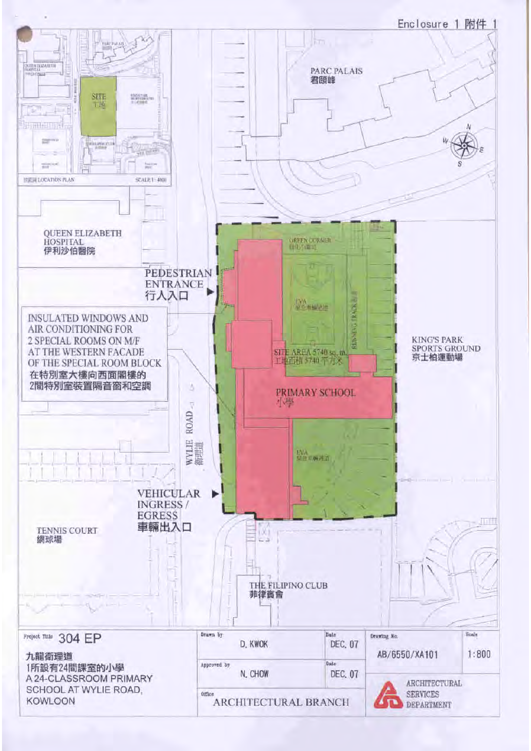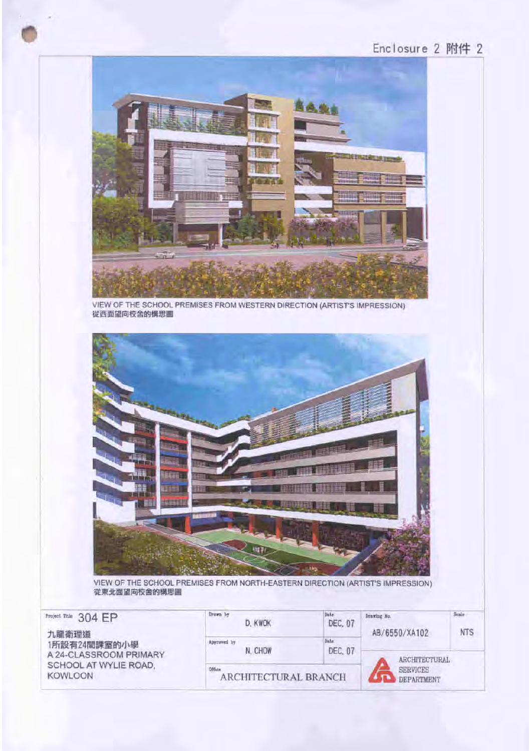# Enclosure 2 附件 2



VIEW OF THE SCHOOL PREMISES FROM WESTERN DIRECTION (ARTIST'S IMPRESSION) 從西面望向校舍的構思圖



VIEW OF THE SCHOOL PREMISES FROM NORTH-EASTERN DIRECTION (ARTIST'S IMPRESSION) 從東北面望向校舍的構思圖

| 304 EP<br>Project Trist                         | firmwn by<br>D. KWOK   | Date<br>DEC. 07      | Drawing Mo.<br>AB/6550/XA102 | Scale<br><b>NTS</b> |
|-------------------------------------------------|------------------------|----------------------|------------------------------|---------------------|
| 九龍衛理道<br>1所設有24間課室的小學<br>A 24-CLASSROOM PRIMARY | Approved by<br>N. CHOW | Date<br>DEC. 07      | <b>ARCHITECTURAL</b>         |                     |
| SCHOOL AT WYLIE ROAD.<br><b>KOWLOON</b>         | Office                 | ARCHITECTURAL BRANCH |                              |                     |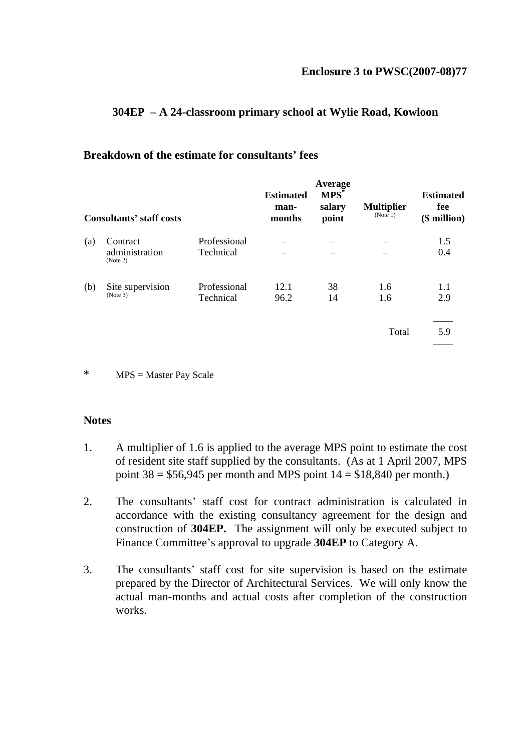#### **304EP – A 24-classroom primary school at Wylie Road, Kowloon**

#### **Breakdown of the estimate for consultants' fees**

|     | <b>Consultants' staff costs</b>        |                           | <b>Estimated</b><br>man-<br>months | Average<br>MPS <sup>*</sup><br>salary<br>point | <b>Multiplier</b><br>(Note 1) | <b>Estimated</b><br>fee<br>(\$ million) |
|-----|----------------------------------------|---------------------------|------------------------------------|------------------------------------------------|-------------------------------|-----------------------------------------|
| (a) | Contract<br>administration<br>(Note 2) | Professional<br>Technical |                                    |                                                |                               | 1.5<br>0.4                              |
| (b) | Site supervision<br>(Note 3)           | Professional<br>Technical | 12.1<br>96.2                       | 38<br>14                                       | 1.6<br>1.6                    | 1.1<br>2.9                              |
|     |                                        |                           |                                    |                                                | Total                         | 5.9                                     |

\* MPS = Master Pay Scale

#### **Notes**

- 1. A multiplier of 1.6 is applied to the average MPS point to estimate the cost of resident site staff supplied by the consultants. (As at 1 April 2007, MPS point  $38 = $56,945$  per month and MPS point  $14 = $18,840$  per month.)
- 2. The consultants' staff cost for contract administration is calculated in accordance with the existing consultancy agreement for the design and construction of **304EP.** The assignment will only be executed subject to Finance Committee's approval to upgrade **304EP** to Category A.
- 3. The consultants' staff cost for site supervision is based on the estimate prepared by the Director of Architectural Services. We will only know the actual man-months and actual costs after completion of the construction works.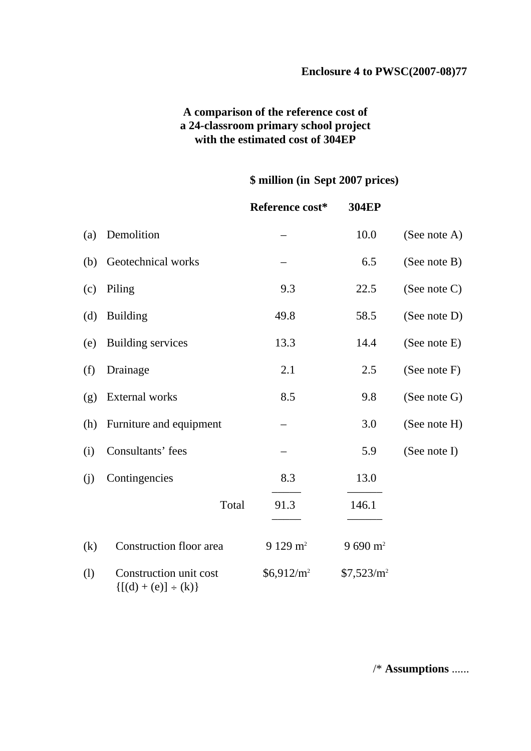### **A comparison of the reference cost of a 24-classroom primary school project with the estimated cost of 304EP**

### **\$ million (in Sept 2007 prices)**

|     |                                                        | Reference cost*    | <b>304EP</b>       |              |
|-----|--------------------------------------------------------|--------------------|--------------------|--------------|
| (a) | Demolition                                             |                    | 10.0               | (See note A) |
| (b) | Geotechnical works                                     |                    | 6.5                | (See note B) |
| (c) | Piling                                                 | 9.3                | 22.5               | (See note C) |
| (d) | <b>Building</b>                                        | 49.8               | 58.5               | (See note D) |
| (e) | <b>Building services</b>                               | 13.3               | 14.4               | (See note E) |
| (f) | Drainage                                               | 2.1                | 2.5                | (See note F) |
| (g) | External works                                         | 8.5                | 9.8                | (See note G) |
| (h) | Furniture and equipment                                |                    | 3.0                | (See note H) |
| (i) | Consultants' fees                                      |                    | 5.9                | (See note I) |
| (j) | Contingencies                                          | 8.3                | 13.0               |              |
|     | Total                                                  | 91.3               | 146.1              |              |
| (k) | Construction floor area                                | $9129 \text{ m}^2$ | $9690 \text{ m}^2$ |              |
| (1) | Construction unit cost<br>$\{ [(d) + (e)] \div (k) \}$ | $$6,912/m^2$       | $$7,523/m^2$       |              |

/\* **Assumptions** ......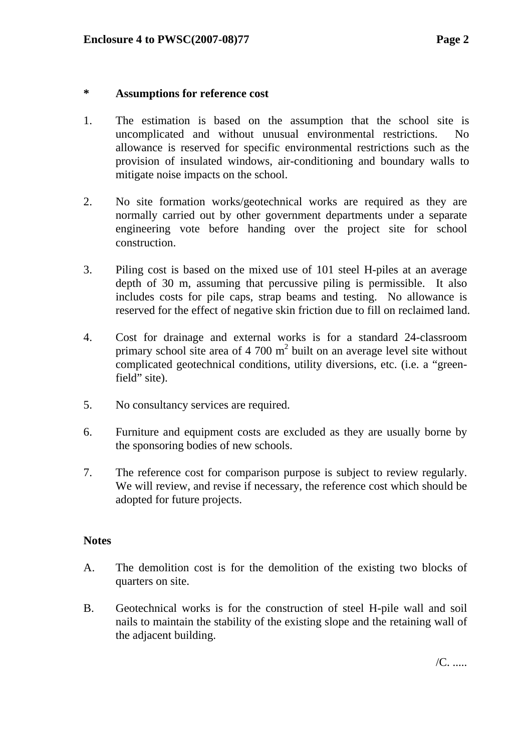### **\* Assumptions for reference cost**

- 1. The estimation is based on the assumption that the school site is uncomplicated and without unusual environmental restrictions. No allowance is reserved for specific environmental restrictions such as the provision of insulated windows, air-conditioning and boundary walls to mitigate noise impacts on the school.
- 2. No site formation works/geotechnical works are required as they are normally carried out by other government departments under a separate engineering vote before handing over the project site for school construction.
- 3. Piling cost is based on the mixed use of 101 steel H-piles at an average depth of 30 m, assuming that percussive piling is permissible. It also includes costs for pile caps, strap beams and testing. No allowance is reserved for the effect of negative skin friction due to fill on reclaimed land.
- 4. Cost for drainage and external works is for a standard 24-classroom primary school site area of 4 700  $m<sup>2</sup>$  built on an average level site without complicated geotechnical conditions, utility diversions, etc. (i.e. a "greenfield" site).
- 5. No consultancy services are required.
- 6. Furniture and equipment costs are excluded as they are usually borne by the sponsoring bodies of new schools.
- 7. The reference cost for comparison purpose is subject to review regularly. We will review, and revise if necessary, the reference cost which should be adopted for future projects.

### **Notes**

- A. The demolition cost is for the demolition of the existing two blocks of quarters on site.
- B. Geotechnical works is for the construction of steel H-pile wall and soil nails to maintain the stability of the existing slope and the retaining wall of the adjacent building.

/C. .....